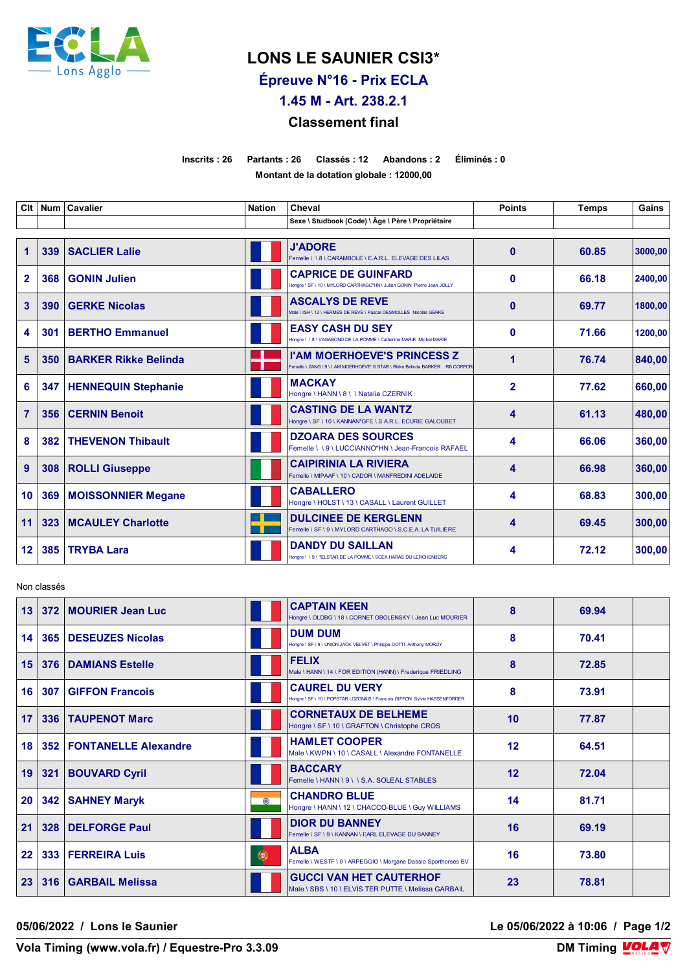

## **LONS LE SAUNIER CSI3\***

**Épreuve N°16 - Prix ECLA**

**1.45 M - Art. 238.2.1**

## **Classement final**

**Inscrits : 26 Partants : 26 Classés : 12 Abandons : 2 Éliminés : 0 Montant de la dotation globale : 12000,00**

| Clt            |     | Num   Cavalier              | <b>Nation</b> | Cheval                                                                                                             | <b>Points</b>  | <b>Temps</b> | Gains   |
|----------------|-----|-----------------------------|---------------|--------------------------------------------------------------------------------------------------------------------|----------------|--------------|---------|
|                |     |                             |               | Sexe \ Studbook (Code) \ Âge \ Père \ Propriétaire                                                                 |                |              |         |
| 1              | 339 | <b>SACLIER Lalie</b>        |               | <b>J'ADORE</b><br>Femelle \\8\CARAMBOLE\E.A.R.L. ELEVAGE DES LILAS                                                 | $\bf{0}$       | 60.85        | 3000.00 |
| $\overline{2}$ | 368 | <b>GONIN Julien</b>         |               | <b>CAPRICE DE GUINFARD</b><br>Hongre \ SF \ 10 \ MYLORD CARTHAGO*HN \ Julien GONIN Pierre Jean JOLLY               | $\bf{0}$       | 66.18        | 2400,00 |
| 3              | 390 | <b>GERKE Nicolas</b>        |               | <b>ASCALYS DE REVE</b><br>Male \ ISH \ 12 \ HERMES DE REVE \ Pascal DESMOLLES Nicolas GERKE                        | $\mathbf{0}$   | 69.77        | 1800,00 |
| 4              | 301 | <b>BERTHO Emmanuel</b>      |               | <b>EASY CASH DU SEY</b><br>Hongre \ \ 8 \ VAGABOND DE LA POMME \ Catherine MARIE Michel MARIE                      | $\mathbf{0}$   | 71.66        | 1200,00 |
| 5              | 350 | <b>BARKER Rikke Belinda</b> |               | <b>I'AM MOERHOEVE'S PRINCESS Z</b><br>Femelle \ ZANG \ 9 \ I AM MOERHOEVE' S STAR \ Rikke Belinda BARKER RB CORPOR | 1              | 76.74        | 840,00  |
| 6              | 347 | <b>HENNEQUIN Stephanie</b>  |               | <b>MACKAY</b><br>Hongre \ HANN \ 8 \ \ Natalia CZERNIK                                                             | $\overline{2}$ | 77.62        | 660,00  |
| $\overline{7}$ | 356 | <b>CERNIN Benoit</b>        |               | <b>CASTING DE LA WANTZ</b><br>Hongre \ SF \ 10 \ KANNAN*GFE \ S.A.R.L. ECURIE GALOUBET                             | 4              | 61.13        | 480,00  |
| 8              | 382 | <b>THEVENON Thibault</b>    |               | <b>DZOARA DES SOURCES</b><br>Femelle \\9\LUCCIANNO*HN\Jean-Francois RAFAEL                                         | 4              | 66.06        | 360,00  |
| 9              | 308 | <b>ROLLI Giuseppe</b>       |               | <b>CAIPIRINIA LA RIVIERA</b><br>Femelle \ MIPAAF \ 10 \ CADOR \ MANFREDINI ADELAIDE                                | 4              | 66.98        | 360,00  |
| 10             | 369 | <b>MOISSONNIER Megane</b>   |               | <b>CABALLERO</b><br>Hongre \ HOLST \ 13 \ CASALL \ Laurent GUILLET                                                 | 4              | 68.83        | 300,00  |
| 11             | 323 | <b>MCAULEY Charlotte</b>    |               | <b>DULCINEE DE KERGLENN</b><br>Femelle \ SF \ 9 \ MYLORD CARTHAGO \ S.C.E.A. LA TUILIERE                           | 4              | 69.45        | 300,00  |
| 12             | 385 | <b>TRYBA Lara</b>           |               | <b>DANDY DU SAILLAN</b><br>Hongre \\ \ 9 \ TELSTAR DE LA POMME \ SCEA HARAS DU LERCHENBERG                         | 4              | 72.12        | 300.00  |

Non classés

| 13                | 372 | <b>MOURIER Jean Luc</b>     |           | <b>CAPTAIN KEEN</b><br>Hongre \ OLDBG \ 18 \ CORNET OBOLENSKY \ Jean Luc MOURIER                   | 8  | 69.94 |  |
|-------------------|-----|-----------------------------|-----------|----------------------------------------------------------------------------------------------------|----|-------|--|
| 14                | 365 | DESEUZES Nicolas            |           | <b>DUM DUM</b><br>Hongre \ SF \ 9 \ UNION JACK VELVET \ Philippe DOTTI Anthony MOROY               | 8  | 70.41 |  |
| 15                | 376 | <b>DAMIANS Estelle</b>      |           | <b>FELIX</b><br>Male \ HANN \ 14 \ FOR EDITION (HANN) \ Frederique FRIEDLING                       | 8  | 72.85 |  |
| 16                | 307 | <b>GIFFON Francois</b>      |           | <b>CAUREL DU VERY</b><br>Hongre \ SF \ 10 \ POPSTAR LOZONAIS \ Francois GIFFON Sylvie HASSENFORDER | 8  | 73.91 |  |
| 17                | 336 | <b>TAUPENOT Marc</b>        |           | <b>CORNETAUX DE BELHEME</b><br>Hongre \ SF \ 10 \ GRAFTON \ Christophe CROS                        | 10 | 77.87 |  |
| 18                | 352 | <b>FONTANELLE Alexandre</b> |           | <b>HAMLET COOPER</b><br>Male \ KWPN \ 10 \ CASALL \ Alexandre FONTANELLE                           | 12 | 64.51 |  |
| 19                | 321 | <b>BOUVARD Cyril</b>        |           | <b>BACCARY</b><br>Femelle \HANN \ 9 \ \ S.A. SOLEAL STABLES                                        | 12 | 72.04 |  |
| 20                | 342 | <b>SAHNEY Maryk</b>         | $\bullet$ | <b>CHANDRO BLUE</b><br>Hongre \ HANN \ 12 \ CHACCO-BLUE \ Guy WILLIAMS                             | 14 | 81.71 |  |
| 21                | 328 | <b>DELFORGE Paul</b>        |           | <b>DIOR DU BANNEY</b><br>Femelle \ SF \ 9 \ KANNAN \ EARL ELEVAGE DU BANNEY                        | 16 | 69.19 |  |
| $22 \overline{ }$ | 333 | <b>FERREIRA Luis</b>        | 0         | <b>ALBA</b><br>Femelle \ WESTF \ 9 \ ARPEGGIO \ Morgane Dassio Sporthorses BV                      | 16 | 73.80 |  |
| 23                | 316 | <b>GARBAIL Melissa</b>      |           | <b>GUCCI VAN HET CAUTERHOF</b><br>Male \ SBS \ 10 \ ELVIS TER PUTTE \ Melissa GARBAIL              | 23 | 78.81 |  |

**05/06/2022 / Lons le Saunier Le 05/06/2022 à 10:06 / Page 1/2**

**Vola Timing (www.vola.fr) / Equestre-Pro 3.3.09** 

**DM Timing VOLA V**